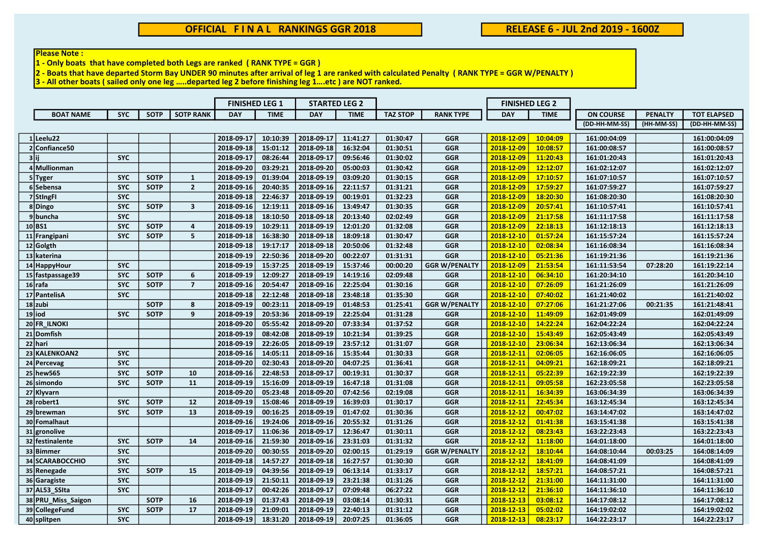## Please Note:

 $1 -$  Only boats that have completed both Legs are ranked (RANK TYPE = GGR)

2 - Boats that have departed Storm Bay UNDER 90 minutes after arrival of leg 1 are ranked with calculated Penalty ( RANK TYPE = GGR W/PENALTY )

3 - All other boats ( sailed only one leg …..departed leg 2 before finishing leg 1….etc ) are NOT ranked.

|                    |            |             |                         | <b>FINISHED LEG 1</b> |             | <b>STARTED LEG 2</b> |             |                 |                      | <b>FINISHED LEG 2</b> |             |                  |                |                    |
|--------------------|------------|-------------|-------------------------|-----------------------|-------------|----------------------|-------------|-----------------|----------------------|-----------------------|-------------|------------------|----------------|--------------------|
| <b>BOAT NAME</b>   | <b>SYC</b> | <b>SOTP</b> | <b>SOTP RANK</b>        | <b>DAY</b>            | <b>TIME</b> | <b>DAY</b>           | <b>TIME</b> | <b>TAZ STOP</b> | <b>RANK TYPE</b>     | <b>DAY</b>            | <b>TIME</b> | <b>ON COURSE</b> | <b>PENALTY</b> | <b>TOT ELAPSED</b> |
|                    |            |             |                         |                       |             |                      |             |                 |                      |                       |             | (DD-HH-MM-SS)    | (HH-MM-SS)     | (DD-HH-MM-SS)      |
| $1$ Leelu22        |            |             |                         | 2018-09-17            | 10:10:39    | 2018-09-17           | 11:41:27    | 01:30:47        | <b>GGR</b>           | 2018-12-09            | 10:04:09    | 161:00:04:09     |                | 161:00:04:09       |
| 2 Confiance 50     |            |             |                         | 2018-09-18            | 15:01:12    | 2018-09-18           | 16:32:04    | 01:30:51        | GGR                  | 2018-12-09            | 10:08:57    | 161:00:08:57     |                | 161:00:08:57       |
| 3 ii               | <b>SYC</b> |             |                         | 2018-09-17            | 08:26:44    | 2018-09-17           | 09:56:46    | 01:30:02        | GGR                  | 2018-12-09            | 11:20:43    | 161:01:20:43     |                | 161:01:20:43       |
| 4 Mullionman       |            |             |                         | 2018-09-20            | 03:29:21    | 2018-09-20           | 05:00:03    | 01:30:42        | <b>GGR</b>           | 2018-12-09            | 12:12:07    | 161:02:12:07     |                | 161:02:12:07       |
| 5 Tyger            | <b>SYC</b> | <b>SOTP</b> | $\mathbf{1}$            | 2018-09-19            | 01:39:04    | 2018-09-19           | 03:09:20    | 01:30:15        | <b>GGR</b>           | 2018-12-09            | 17:10:57    | 161:07:10:57     |                | 161:07:10:57       |
| 6 Sebensa          | <b>SYC</b> | <b>SOTP</b> | $\overline{2}$          | 2018-09-16            | 20:40:35    | 2018-09-16           | 22:11:57    | 01:31:21        | <b>GGR</b>           | 2018-12-09            | 17:59:27    | 161:07:59:27     |                | 161:07:59:27       |
| 7 StingFi          | <b>SYC</b> |             |                         | 2018-09-18            | 22:46:37    | 2018-09-19           | 00:19:01    | 01:32:23        | <b>GGR</b>           | 2018-12-09            | 18:20:30    | 161:08:20:30     |                | 161:08:20:30       |
| 8Dingo             | <b>SYC</b> | <b>SOTP</b> | $\overline{\mathbf{3}}$ | 2018-09-16            | 12:19:11    | 2018-09-16           | 13:49:47    | 01:30:35        | <b>GGR</b>           | 2018-12-09            | 20:57:41    | 161:10:57:41     |                | 161:10:57:41       |
| 9buncha            | <b>SYC</b> |             |                         | 2018-09-18            | 18:10:50    | 2018-09-18           | 20:13:40    | 02:02:49        | <b>GGR</b>           | 2018-12-09            | 21:17:58    | 161:11:17:58     |                | 161:11:17:58       |
| 10 BS1             | <b>SYC</b> | <b>SOTP</b> | 4                       | 2018-09-19            | 10:29:11    | 2018-09-19           | 12:01:20    | 01:32:08        | <b>GGR</b>           | 2018-12-09            | 22:18:13    | 161:12:18:13     |                | 161:12:18:13       |
| 11 Frangipani      | <b>SYC</b> | <b>SOTP</b> | 5                       | 2018-09-18            | 16:38:30    | 2018-09-18           | 18:09:18    | 01:30:47        | GGR                  | 2018-12-10            | 01:57:24    | 161:15:57:24     |                | 161:15:57:24       |
| 12 Golgth          |            |             |                         | 2018-09-18            | 19:17:17    | 2018-09-18           | 20:50:06    | 01:32:48        | <b>GGR</b>           | 2018-12-10            | 02:08:34    | 161:16:08:34     |                | 161:16:08:34       |
| 13 katerina        |            |             |                         | 2018-09-19            | 22:50:36    | 2018-09-20           | 00:22:07    | 01:31:31        | <b>GGR</b>           | 2018-12-10            | 05:21:36    | 161:19:21:36     |                | 161:19:21:36       |
| 14 HappyHour       | <b>SYC</b> |             |                         | 2018-09-19            | 15:37:25    | 2018-09-19           | 15:37:46    | 00:00:20        | <b>GGR W/PENALTY</b> | 2018-12-09            | 21:53:54    | 161:11:53:54     | 07:28:20       | 161:19:22:14       |
| 15 fastpassage39   | <b>SYC</b> | <b>SOTP</b> | 6                       | 2018-09-19            | 12:09:27    | 2018-09-19           | 14:19:16    | 02:09:48        | <b>GGR</b>           | 2018-12-10            | 06:34:10    | 161:20:34:10     |                | 161:20:34:10       |
| $16$ rafa          | <b>SYC</b> | <b>SOTP</b> | $\overline{7}$          | 2018-09-16            | 20:54:47    | 2018-09-16           | 22:25:04    | 01:30:16        | GGR                  | 2018-12-10            | 07:26:09    | 161:21:26:09     |                | 161:21:26:09       |
| 17 PantelisA       | <b>SYC</b> |             |                         | 2018-09-18            | 22:12:48    | 2018-09-18           | 23:48:18    | 01:35:30        | GGR                  | 2018-12-10            | 07:40:02    | 161:21:40:02     |                | 161:21:40:02       |
| $18$ zubi          |            | <b>SOTP</b> | 8                       | 2018-09-19            | 00:23:11    | 2018-09-19           | 01:48:53    | 01:25:41        | <b>GGR W/PENALTY</b> | 2018-12-10            | 07:27:06    | 161:21:27:06     | 00:21:35       | 161:21:48:41       |
| $19$ iod           | <b>SYC</b> | <b>SOTP</b> | 9                       | 2018-09-19            | 20:53:36    | 2018-09-19           | 22:25:04    | 01:31:28        | <b>GGR</b>           | 2018-12-10            | 11:49:09    | 162:01:49:09     |                | 162:01:49:09       |
| 20 FR_ILNOKI       |            |             |                         | 2018-09-20            | 05:55:42    | 2018-09-20           | 07:33:34    | 01:37:52        | <b>GGR</b>           | 2018-12-10            | 14:22:24    | 162:04:22:24     |                | 162:04:22:24       |
| 21 Domfish         |            |             |                         | 2018-09-19            | 08:42:08    | 2018-09-19           | 10:21:34    | 01:39:25        | <b>GGR</b>           | 2018-12-10            | 15:43:49    | 162:05:43:49     |                | 162:05:43:49       |
| 22 hari            |            |             |                         | 2018-09-19            | 22:26:05    | 2018-09-19           | 23:57:12    | 01:31:07        | <b>GGR</b>           | 2018-12-10            | 23:06:34    | 162:13:06:34     |                | 162:13:06:34       |
| 23 KALENKOAN2      | <b>SYC</b> |             |                         | 2018-09-16            | 14:05:11    | 2018-09-16           | 15:35:44    | 01:30:33        | <b>GGR</b>           | 2018-12-11            | 02:06:05    | 162:16:06:05     |                | 162:16:06:05       |
| 24 Percevag        | <b>SYC</b> |             |                         | 2018-09-20            | 02:30:43    | 2018-09-20           | 04:07:25    | 01:36:41        | GGR                  | 2018-12-11            | 04:09:21    | 162:18:09:21     |                | 162:18:09:21       |
| 25 hew 565         | <b>SYC</b> | <b>SOTP</b> | 10                      | 2018-09-16            | 22:48:53    | 2018-09-17           | 00:19:31    | 01:30:37        | <b>GGR</b>           | 2018-12-11            | 05:22:39    | 162:19:22:39     |                | 162:19:22:39       |
| 26 simondo         | <b>SYC</b> | <b>SOTP</b> | 11                      | 2018-09-19            | 15:16:09    | 2018-09-19           | 16:47:18    | 01:31:08        | <b>GGR</b>           | 2018-12-11            | 09:05:58    | 162:23:05:58     |                | 162:23:05:58       |
| 27 Klyvarn         |            |             |                         | 2018-09-20            | 05:23:48    | 2018-09-20           | 07:42:56    | 02:19:08        | <b>GGR</b>           | 2018-12-11            | 16:34:39    | 163:06:34:39     |                | 163:06:34:39       |
| $28$ robert1       | <b>SYC</b> | <b>SOTP</b> | 12                      | 2018-09-19            | 15:08:46    | 2018-09-19           | 16:39:03    | 01:30:17        | <b>GGR</b>           | 2018-12-11            | 22:45:34    | 163:12:45:34     |                | 163:12:45:34       |
| 29 brewman         | <b>SYC</b> | <b>SOTP</b> | 13                      | 2018-09-19            | 00:16:25    | 2018-09-19           | 01:47:02    | 01:30:36        | <b>GGR</b>           | 2018-12-12            | 00:47:02    | 163:14:47:02     |                | 163:14:47:02       |
| 30 Fomalhaut       |            |             |                         | 2018-09-16            | 19:24:06    | 2018-09-16           | 20:55:32    | 01:31:26        | GGR                  | 2018-12-12            | 01:41:38    | 163:15:41:38     |                | 163:15:41:38       |
| $31$ gronolive     |            |             |                         | 2018-09-17            | 11:06:36    | 2018-09-17           | 12:36:47    | 01:30:11        | <b>GGR</b>           | 2018-12-12            | 08:23:43    | 163:22:23:43     |                | 163:22:23:43       |
| 32 festinalente    | <b>SYC</b> | <b>SOTP</b> | 14                      | 2018-09-16            | 21:59:30    | 2018-09-16           | 23:31:03    | 01:31:32        | GGR                  | 2018-12-12            | 11:18:00    | 164:01:18:00     |                | 164:01:18:00       |
| 33 Bimmer          | <b>SYC</b> |             |                         | 2018-09-20            | 00:30:55    | 2018-09-20           | 02:00:15    | 01:29:19        | <b>GGR W/PENALTY</b> | 2018-12-12            | 18:10:44    | 164:08:10:44     | 00:03:25       | 164:08:14:09       |
| 34 SCARABOCCHIO    | <b>SYC</b> |             |                         | 2018-09-18            | 14:57:27    | 2018-09-18           | 16:27:57    | 01:30:30        | <b>GGR</b>           | 2018-12-12            | 18:41:09    | 164:08:41:09     |                | 164:08:41:09       |
| 35 Renegade        | <b>SYC</b> | <b>SOTP</b> | 15                      | 2018-09-19            | 04:39:56    | 2018-09-19           | 06:13:14    | 01:33:17        | <b>GGR</b>           | 2018-12-12            | 18:57:21    | 164:08:57:21     |                | 164:08:57:21       |
| 36 Garagiste       | <b>SYC</b> |             |                         | 2018-09-19            | 21:50:11    | 2018-09-19           | 23:21:38    | 01:31:26        | <b>GGR</b>           | 2018-12-12            | 21:31:00    | 164:11:31:00     |                | 164:11:31:00       |
| 37 AL53_SSIta      | <b>SYC</b> |             |                         | 2018-09-17            | 00:42:26    | 2018-09-17           | 07:09:48    | 06:27:22        | GGR                  | 2018-12-12            | 21:36:10    | 164:11:36:10     |                | 164:11:36:10       |
| 38 PRU Miss Saigon |            | <b>SOTP</b> | 16                      | 2018-09-19            | 01:37:43    | 2018-09-19           | 03:08:14    | 01:30:31        | <b>GGR</b>           | 2018-12-13            | 03:08:12    | 164:17:08:12     |                | 164:17:08:12       |
| 39 CollegeFund     | <b>SYC</b> | <b>SOTP</b> | 17                      | 2018-09-19            | 21:09:01    | 2018-09-19           | 22:40:13    | 01:31:12        | <b>GGR</b>           | 2018-12-13            | 05:02:02    | 164:19:02:02     |                | 164:19:02:02       |
| 40 splitpen        | <b>SYC</b> |             |                         | 2018-09-19            | 18:31:20    | 2018-09-19           | 20:07:25    | 01:36:05        | GGR                  | 2018-12-13            | 08:23:17    | 164:22:23:17     |                | 164:22:23:17       |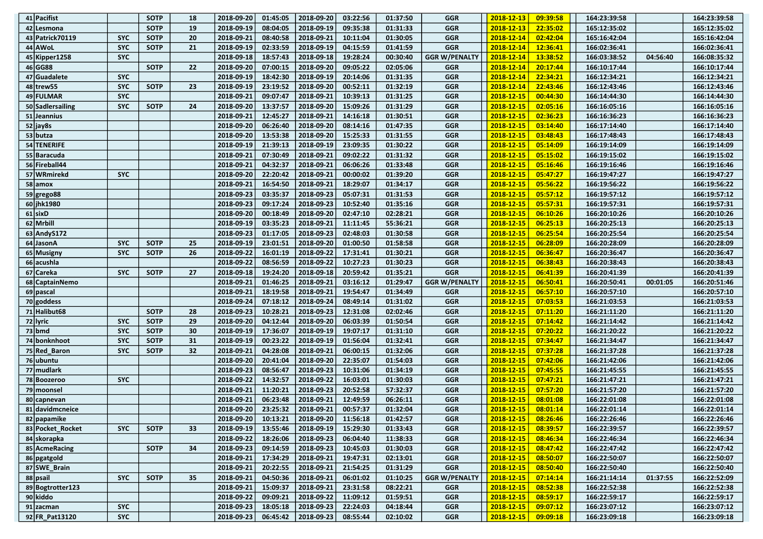| 41 Pacifist           |            | <b>SOTP</b> | 18 | 2018-09-20 | 01:45:05 | 2018-09-20                              | 03:22:56 | 01:37:50 | <b>GGR</b>           | 2018-12-13          | 09:39:58 | 164:23:39:58 |          | 164:23:39:58 |
|-----------------------|------------|-------------|----|------------|----------|-----------------------------------------|----------|----------|----------------------|---------------------|----------|--------------|----------|--------------|
| 42 Lesmona            |            | <b>SOTP</b> | 19 | 2018-09-19 | 08:04:05 | 2018-09-19                              | 09:35:38 | 01:31:33 | <b>GGR</b>           | 2018-12-13          | 22:35:02 | 165:12:35:02 |          | 165:12:35:02 |
| 43 Patrick70119       | <b>SYC</b> | <b>SOTP</b> | 20 | 2018-09-21 | 08:40:58 | 2018-09-21                              | 10:11:04 | 01:30:05 | <b>GGR</b>           | 2018-12-14          | 02:42:04 | 165:16:42:04 |          | 165:16:42:04 |
| 44 AWoL               | <b>SYC</b> | <b>SOTP</b> | 21 | 2018-09-19 | 02:33:59 | 2018-09-19                              | 04:15:59 | 01:41:59 | GGR                  | 2018-12-14          | 12:36:41 | 166:02:36:41 |          | 166:02:36:41 |
| 45 Kipper 1258        | <b>SYC</b> |             |    | 2018-09-18 | 18:57:43 | 2018-09-18                              | 19:28:24 | 00:30:40 | <b>GGR W/PENALTY</b> | 2018-12-14          | 13:38:52 | 166:03:38:52 | 04:56:40 | 166:08:35:32 |
| 46 GG88               |            | <b>SOTP</b> | 22 | 2018-09-20 | 07:00:15 | 2018-09-20                              | 09:05:22 | 02:05:06 | <b>GGR</b>           | 2018-12-14          | 20:17:44 | 166:10:17:44 |          | 166:10:17:44 |
| 47 Guadalete          | <b>SYC</b> |             |    | 2018-09-19 | 18:42:30 | 2018-09-19                              | 20:14:06 | 01:31:35 | <b>GGR</b>           | 2018-12-14          | 22:34:21 | 166:12:34:21 |          | 166:12:34:21 |
| 48 trew <sub>55</sub> | <b>SYC</b> | <b>SOTP</b> | 23 | 2018-09-19 | 23:19:52 | 2018-09-20                              | 00:52:11 | 01:32:19 | <b>GGR</b>           | 2018-12-14          | 22:43:46 | 166:12:43:46 |          | 166:12:43:46 |
| 49 FULMAR             | <b>SYC</b> |             |    | 2018-09-21 | 09:07:47 | 2018-09-21                              | 10:39:13 | 01:31:25 | <b>GGR</b>           | 2018-12-15          | 00:44:30 | 166:14:44:30 |          | 166:14:44:30 |
| 50 Sadlersailing      | <b>SYC</b> | <b>SOTP</b> | 24 | 2018-09-20 | 13:37:57 | 2018-09-20                              | 15:09:26 | 01:31:29 | <b>GGR</b>           | 2018-12-15          | 02:05:16 | 166:16:05:16 |          | 166:16:05:16 |
| 51 Jeannius           |            |             |    | 2018-09-21 | 12:45:27 | 2018-09-21                              | 14:16:18 | 01:30:51 | <b>GGR</b>           | 2018-12-15          | 02:36:23 | 166:16:36:23 |          | 166:16:36:23 |
| $52$ jay8s            |            |             |    | 2018-09-20 | 06:26:40 | 2018-09-20                              | 08:14:16 | 01:47:35 | <b>GGR</b>           | 2018-12-15          | 03:14:40 | 166:17:14:40 |          | 166:17:14:40 |
| $53$ butza            |            |             |    | 2018-09-20 | 13:53:38 | 2018-09-20                              | 15:25:33 | 01:31:55 | <b>GGR</b>           | 2018-12-15          | 03:48:43 | 166:17:48:43 |          | 166:17:48:43 |
| 54 TENERIFE           |            |             |    | 2018-09-19 | 21:39:13 | 2018-09-19                              | 23:09:35 | 01:30:22 | <b>GGR</b>           | 2018-12-15          | 05:14:09 | 166:19:14:09 |          | 166:19:14:09 |
| 55 Baracuda           |            |             |    | 2018-09-21 | 07:30:49 | 2018-09-21                              | 09:02:22 | 01:31:32 | <b>GGR</b>           | 2018-12-15          | 05:15:02 | 166:19:15:02 |          | 166:19:15:02 |
| 56 Fireball44         |            |             |    | 2018-09-21 | 04:32:37 | 2018-09-21                              | 06:06:26 | 01:33:48 | <b>GGR</b>           | 2018-12-15          | 05:16:46 | 166:19:16:46 |          | 166:19:16:46 |
| 57 WRmirekd           | <b>SYC</b> |             |    | 2018-09-20 | 22:20:42 | 2018-09-21                              | 00:00:02 | 01:39:20 | <b>GGR</b>           | 2018-12-15          | 05:47:27 | 166:19:47:27 |          | 166:19:47:27 |
| $58$ amox             |            |             |    | 2018-09-21 | 16:54:50 | 2018-09-21                              | 18:29:07 | 01:34:17 | <b>GGR</b>           | 2018-12-15          | 05:56:22 | 166:19:56:22 |          | 166:19:56:22 |
| $59 $ grego88         |            |             |    | 2018-09-23 | 03:35:37 | 2018-09-23                              | 05:07:31 | 01:31:53 | <b>GGR</b>           | 2018-12-15          | 05:57:12 | 166:19:57:12 |          | 166:19:57:12 |
| 60 jhk1980            |            |             |    | 2018-09-23 | 09:17:24 | 2018-09-23                              | 10:52:40 | 01:35:16 | <b>GGR</b>           | 2018-12-15          | 05:57:31 | 166:19:57:31 |          | 166:19:57:31 |
| $61$ sixD             |            |             |    | 2018-09-20 | 00:18:49 | 2018-09-20                              | 02:47:10 | 02:28:21 | <b>GGR</b>           | 2018-12-15          | 06:10:26 | 166:20:10:26 |          | 166:20:10:26 |
| 62 Mrbill             |            |             |    | 2018-09-19 | 03:35:23 | 2018-09-21                              | 11:11:45 | 55:36:21 | <b>GGR</b>           | 2018-12-15          | 06:25:13 | 166:20:25:13 |          | 166:20:25:13 |
| 63 Andy S172          |            |             |    | 2018-09-23 | 01:17:05 | 2018-09-23                              | 02:48:03 | 01:30:58 | <b>GGR</b>           | 2018-12-15          | 06:25:54 | 166:20:25:54 |          | 166:20:25:54 |
| 64 JasonA             | <b>SYC</b> | <b>SOTP</b> | 25 | 2018-09-19 | 23:01:51 | 2018-09-20                              | 01:00:50 | 01:58:58 | <b>GGR</b>           | 2018-12-15          | 06:28:09 | 166:20:28:09 |          | 166:20:28:09 |
| 65 Musigny            | <b>SYC</b> | <b>SOTP</b> | 26 | 2018-09-22 | 16:01:19 | 2018-09-22                              | 17:31:41 | 01:30:21 | <b>GGR</b>           | 2018-12-15          | 06:36:47 | 166:20:36:47 |          | 166:20:36:47 |
| 66 acushla            |            |             |    | 2018-09-22 | 08:56:59 | 2018-09-22                              | 10:27:23 | 01:30:23 | <b>GGR</b>           | 2018-12-15          | 06:38:43 | 166:20:38:43 |          | 166:20:38:43 |
| 67 Careka             | <b>SYC</b> | <b>SOTP</b> | 27 | 2018-09-18 | 19:24:20 | 2018-09-18                              | 20:59:42 | 01:35:21 | GGR                  | 2018-12-15          | 06:41:39 | 166:20:41:39 |          | 166:20:41:39 |
| 68 CaptainNemo        |            |             |    | 2018-09-21 | 01:46:25 | 2018-09-21                              | 03:16:12 | 01:29:47 | <b>GGR W/PENALTY</b> | 2018-12-15          | 06:50:41 | 166:20:50:41 | 00:01:05 | 166:20:51:46 |
| 69 pascal             |            |             |    | 2018-09-21 | 18:19:58 | 2018-09-21                              | 19:54:47 | 01:34:49 | <b>GGR</b>           | 2018-12-15          | 06:57:10 | 166:20:57:10 |          | 166:20:57:10 |
| 70 goddess            |            |             |    | 2018-09-24 | 07:18:12 | 2018-09-24                              | 08:49:14 | 01:31:02 | <b>GGR</b>           | 2018-12-15          | 07:03:53 | 166:21:03:53 |          | 166:21:03:53 |
| 71 Halibut68          |            | <b>SOTP</b> | 28 | 2018-09-23 | 10:28:21 | 2018-09-23                              | 12:31:08 | 02:02:46 | <b>GGR</b>           | 2018-12-15          | 07:11:20 | 166:21:11:20 |          | 166:21:11:20 |
| 72 lyric              | <b>SYC</b> | <b>SOTP</b> | 29 | 2018-09-20 | 04:12:44 | 2018-09-20                              | 06:03:39 | 01:50:54 | <b>GGR</b>           | 2018-12-15          | 07:14:42 | 166:21:14:42 |          | 166:21:14:42 |
| $73$ bmd              | <b>SYC</b> | <b>SOTP</b> | 30 | 2018-09-19 | 17:36:07 | 2018-09-19                              | 19:07:17 | 01:31:10 | <b>GGR</b>           | 2018-12-15          | 07:20:22 | 166:21:20:22 |          | 166:21:20:22 |
| 74 bonknhoot          | <b>SYC</b> | <b>SOTP</b> | 31 | 2018-09-19 | 00:23:22 | 2018-09-19                              | 01:56:04 | 01:32:41 | <b>GGR</b>           | 2018-12-15          | 07:34:47 | 166:21:34:47 |          | 166:21:34:47 |
| 75 Red_Baron          | <b>SYC</b> | <b>SOTP</b> | 32 | 2018-09-21 | 04:28:08 | 2018-09-21                              | 06:00:15 | 01:32:06 | <b>GGR</b>           | 2018-12-15          | 07:37:28 | 166:21:37:28 |          | 166:21:37:28 |
| 76 ubuntu             |            |             |    | 2018-09-20 | 20:41:04 | 2018-09-20                              | 22:35:07 | 01:54:03 | <b>GGR</b>           | 2018-12-15          | 07:42:06 | 166:21:42:06 |          | 166:21:42:06 |
| 77 mudlark            |            |             |    | 2018-09-23 | 08:56:47 | 2018-09-23                              | 10:31:06 | 01:34:19 | <b>GGR</b>           | 2018-12-15          | 07:45:55 | 166:21:45:55 |          | 166:21:45:55 |
| 78 Boozeroo           | <b>SYC</b> |             |    | 2018-09-22 | 14:32:57 | 2018-09-22                              | 16:03:01 | 01:30:03 | <b>GGR</b>           | 2018-12-15          | 07:47:21 | 166:21:47:21 |          | 166:21:47:21 |
| 79 moonsel            |            |             |    | 2018-09-21 | 11:20:21 | 2018-09-23                              | 20:52:58 | 57:32:37 | <b>GGR</b>           | 2018-12-15          | 07:57:20 | 166:21:57:20 |          | 166:21:57:20 |
| 80 capnevan           |            |             |    | 2018-09-21 | 06:23:48 | 2018-09-21                              | 12:49:59 | 06:26:11 | <b>GGR</b>           | 2018-12-15          | 08:01:08 | 166:22:01:08 |          | 166:22:01:08 |
| 81 davidmcneice       |            |             |    | 2018-09-20 | 23:25:32 | 2018-09-21                              | 00:57:37 | 01:32:04 | <b>GGR</b>           | 2018-12-15          | 08:01:14 | 166:22:01:14 |          | 166:22:01:14 |
| 82 papamike           |            |             |    |            |          | 2018-09-20 10:13:21 2018-09-20 11:56:18 |          | 01:42:57 | $_{\mathsf{GGR}}$    | $\sqrt{2018-12-15}$ | 08:26:46 | 166:22:26:46 |          | 166:22:26:46 |
| 83 Pocket Rocket      | <b>SYC</b> | <b>SOTP</b> | 33 | 2018-09-19 | 13:55:46 | $2018 - 09 - 19$                        | 15:29:30 | 01:33:43 | <b>GGR</b>           | $2018 - 12 - 15$    | 08:39:57 | 166:22:39:57 |          | 166:22:39:57 |
| 84 skorapka           |            |             |    | 2018-09-22 | 18:26:06 | 2018-09-23                              | 06:04:40 | 11:38:33 | <b>GGR</b>           | 2018-12-15          | 08:46:34 | 166:22:46:34 |          | 166:22:46:34 |
| 85 AcmeRacing         |            | <b>SOTP</b> | 34 | 2018-09-23 | 09:14:59 | 2018-09-23                              | 10:45:03 | 01:30:03 | <b>GGR</b>           | 2018-12-15          | 08:47:42 | 166:22:47:42 |          | 166:22:47:42 |
| 86 pgatgold           |            |             |    | 2018-09-21 | 17:34:29 | 2018-09-21                              | 19:47:31 | 02:13:01 | <b>GGR</b>           | 2018-12-15          | 08:50:07 | 166:22:50:07 |          | 166:22:50:07 |
| 87 SWE_Brain          |            |             |    | 2018-09-21 | 20:22:55 | 2018-09-21                              | 21:54:25 | 01:31:29 | <b>GGR</b>           | $2018 - 12 - 15$    | 08:50:40 | 166:22:50:40 |          | 166:22:50:40 |
| 88 psail              | <b>SYC</b> | <b>SOTP</b> | 35 | 2018-09-21 | 04:50:36 | 2018-09-21                              | 06:01:02 | 01:10:25 | <b>GGR W/PENALTY</b> | 2018-12-15          | 07:14:14 | 166:21:14:14 | 01:37:55 | 166:22:52:09 |
| 89 Bogtrotter 123     |            |             |    |            |          | 2018-09-21                              | 23:31:58 | 08:22:21 | <b>GGR</b>           | 2018-12-15          | 08:52:38 | 166:22:52:38 |          | 166:22:52:38 |
|                       |            |             |    | 2018-09-21 | 15:09:37 |                                         |          |          |                      |                     |          |              |          |              |
| 90 kiddo              |            |             |    | 2018-09-22 | 09:09:21 | 2018-09-22                              | 11:09:12 | 01:59:51 | <b>GGR</b>           | 2018-12-15          | 08:59:17 | 166:22:59:17 |          | 166:22:59:17 |
| $91$ zacman           | <b>SYC</b> |             |    | 2018-09-23 | 18:05:18 | $ 2018-09-23 $                          | 22:24:03 | 04:18:44 | <b>GGR</b>           | 2018-12-15          | 09:07:12 | 166:23:07:12 |          | 166:23:07:12 |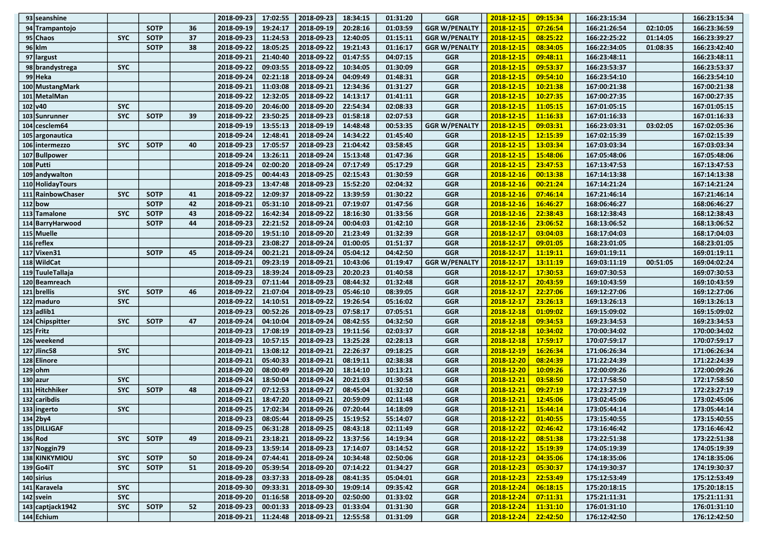| $93$ seanshine     |            |             |    | 2018-09-23 | 17:02:55 | 2018-09-23                       | 18:34:15 | 01:31:20 | <b>GGR</b>           | 2018-12-15                | 09:15:34 | 166:23:15:34                                                                                       |          | 166:23:15:34 |
|--------------------|------------|-------------|----|------------|----------|----------------------------------|----------|----------|----------------------|---------------------------|----------|----------------------------------------------------------------------------------------------------|----------|--------------|
| 94 Trampantojo     |            | <b>SOTP</b> | 36 | 2018-09-19 | 19:24:17 | 2018-09-19                       | 20:28:16 | 01:03:59 | <b>GGR W/PENALTY</b> | 2018-12-15                | 07:26:54 | 166:21:26:54                                                                                       | 02:10:05 | 166:23:36:59 |
| 95 Chaos           | <b>SYC</b> | <b>SOTP</b> | 37 | 2018-09-23 | 11:24:53 | 2018-09-23                       | 12:40:05 | 01:15:11 | <b>GGR W/PENALTY</b> | 2018-12-15                | 08:25:22 | 166:22:25:22                                                                                       | 01:14:05 | 166:23:39:27 |
| $96$ klm           |            | <b>SOTP</b> | 38 | 2018-09-22 | 18:05:25 | 2018-09-22                       | 19:21:43 | 01:16:17 | <b>GGR W/PENALTY</b> | 2018-12-15                | 08:34:05 | 166:22:34:05                                                                                       | 01:08:35 | 166:23:42:40 |
| 97 largust         |            |             |    | 2018-09-21 | 21:40:40 | 2018-09-22                       | 01:47:55 | 04:07:15 | <b>GGR</b>           | 2018-12-15                | 09:48:11 | 166:23:48:11                                                                                       |          | 166:23:48:11 |
| 98 brandystrega    | <b>SYC</b> |             |    | 2018-09-22 | 09:03:55 | 2018-09-22                       | 10:34:05 | 01:30:09 | <b>GGR</b>           | 2018-12-15                | 09:53:37 | 166:23:53:37                                                                                       |          | 166:23:53:37 |
| 99 Heka            |            |             |    | 2018-09-24 | 02:21:18 | 2018-09-24                       | 04:09:49 | 01:48:31 | <b>GGR</b>           | 2018-12-15                | 09:54:10 | 166:23:54:10                                                                                       |          | 166:23:54:10 |
| 100 MustangMark    |            |             |    | 2018-09-21 | 11:03:08 | 2018-09-21                       | 12:34:36 | 01:31:27 | <b>GGR</b>           | 2018-12-15                | 10:21:38 | 167:00:21:38                                                                                       |          | 167:00:21:38 |
| 101 MetalMan       |            |             |    | 2018-09-22 | 12:32:05 | 2018-09-22                       | 14:13:17 | 01:41:11 | <b>GGR</b>           | 2018-12-15                | 10:27:35 | 167:00:27:35                                                                                       |          | 167:00:27:35 |
| 102 v40            | <b>SYC</b> |             |    | 2018-09-20 | 20:46:00 | 2018-09-20                       | 22:54:34 | 02:08:33 | <b>GGR</b>           | 2018-12-15                | 11:05:15 | 167:01:05:15                                                                                       |          | 167:01:05:15 |
| 103 Sunrunner      | <b>SYC</b> | <b>SOTP</b> | 39 | 2018-09-22 | 23:50:25 | 2018-09-23                       | 01:58:18 | 02:07:53 | <b>GGR</b>           | 2018-12-15                | 11:16:33 | 167:01:16:33                                                                                       |          | 167:01:16:33 |
| $104$ cesclem 64   |            |             |    | 2018-09-19 | 13:55:13 | 2018-09-19                       | 14:48:48 | 00:53:35 | <b>GGR W/PENALTY</b> | 2018-12-15                | 09:03:31 | 166:23:03:31                                                                                       | 03:02:05 | 167:02:05:36 |
| 105 argonautica    |            |             |    | 2018-09-24 | 12:48:41 | 2018-09-24                       | 14:34:22 | 01:45:40 | <b>GGR</b>           | 2018-12-15                | 12:15:39 | 167:02:15:39                                                                                       |          | 167:02:15:39 |
| 106 intermezzo     | <b>SYC</b> | <b>SOTP</b> | 40 | 2018-09-23 | 17:05:57 | 2018-09-23                       | 21:04:42 | 03:58:45 | <b>GGR</b>           | 2018-12-15                | 13:03:34 | 167:03:03:34                                                                                       |          | 167:03:03:34 |
| 107 Bullpower      |            |             |    | 2018-09-24 | 13:26:11 | 2018-09-24                       | 15:13:48 | 01:47:36 | <b>GGR</b>           | 2018-12-15                | 15:48:06 | 167:05:48:06                                                                                       |          | 167:05:48:06 |
| 108 Putti          |            |             |    | 2018-09-24 | 02:00:20 | 2018-09-24                       | 07:17:49 | 05:17:29 | <b>GGR</b>           | 2018-12-15                | 23:47:53 | 167:13:47:53                                                                                       |          | 167:13:47:53 |
| 109 andywalton     |            |             |    | 2018-09-25 | 00:44:43 | 2018-09-25                       | 02:15:43 | 01:30:59 | <b>GGR</b>           | 2018-12-16                | 00:13:38 | 167:14:13:38                                                                                       |          | 167:14:13:38 |
| 110 Holiday Tours  |            |             |    | 2018-09-23 | 13:47:48 | 2018-09-23                       | 15:52:20 | 02:04:32 | <b>GGR</b>           | 2018-12-16                | 00:21:24 | 167:14:21:24                                                                                       |          | 167:14:21:24 |
| 111 Rainbow Chaser | <b>SYC</b> | <b>SOTP</b> | 41 | 2018-09-22 | 12:09:37 | 2018-09-22                       | 13:39:59 | 01:30:22 | <b>GGR</b>           | 2018-12-16                | 07:46:14 | 167:21:46:14                                                                                       |          | 167:21:46:14 |
| $112$ bow          |            | <b>SOTP</b> | 42 | 2018-09-21 | 05:31:10 | 2018-09-21                       | 07:19:07 | 01:47:56 | <b>GGR</b>           | 2018-12-16                | 16:46:27 | 168:06:46:27                                                                                       |          | 168:06:46:27 |
| 113 Tamalone       | <b>SYC</b> | <b>SOTP</b> | 43 | 2018-09-22 | 16:42:34 | 2018-09-22                       | 18:16:30 | 01:33:56 | <b>GGR</b>           | 2018-12-16                | 22:38:43 | 168:12:38:43                                                                                       |          | 168:12:38:43 |
| 114 Barry Harwood  |            | <b>SOTP</b> | 44 | 2018-09-23 | 22:21:52 | 2018-09-24                       | 00:04:03 | 01:42:10 | <b>GGR</b>           | 2018-12-16                | 23:06:52 | 168:13:06:52                                                                                       |          | 168:13:06:52 |
| 115 Muelle         |            |             |    | 2018-09-20 | 19:51:10 | 2018-09-20                       | 21:23:49 | 01:32:39 | <b>GGR</b>           | 2018-12-17                | 03:04:03 | 168:17:04:03                                                                                       |          | 168:17:04:03 |
| $116$ reflex       |            |             |    | 2018-09-23 | 23:08:27 | 2018-09-24                       | 01:00:05 | 01:51:37 | <b>GGR</b>           | 2018-12-17                | 09:01:05 | 168:23:01:05                                                                                       |          | 168:23:01:05 |
| 117 Vixen 31       |            | <b>SOTP</b> | 45 | 2018-09-24 | 00:21:21 | 2018-09-24                       | 05:04:12 | 04:42:50 | <b>GGR</b>           | 2018-12-17                | 11:19:11 | 169:01:19:11                                                                                       |          | 169:01:19:11 |
| 118 WildCat        |            |             |    | 2018-09-21 | 09:23:19 | 2018-09-21                       | 10:43:06 | 01:19:47 | <b>GGR W/PENALTY</b> | 2018-12-17                | 13:11:19 | 169:03:11:19                                                                                       | 00:51:05 | 169:04:02:24 |
| 119 TuuleTallaja   |            |             |    | 2018-09-23 | 18:39:24 | 2018-09-23                       | 20:20:23 | 01:40:58 | <b>GGR</b>           | 2018-12-17                | 17:30:53 | 169:07:30:53                                                                                       |          | 169:07:30:53 |
| 120 Beamreach      |            |             |    | 2018-09-23 | 07:11:44 | 2018-09-23                       | 08:44:32 | 01:32:48 | <b>GGR</b>           | 2018-12-17                | 20:43:59 | 169:10:43:59                                                                                       |          | 169:10:43:59 |
| 121 brellis        | <b>SYC</b> | <b>SOTP</b> | 46 | 2018-09-22 | 21:07:04 | 2018-09-23                       | 05:46:10 | 08:39:05 | <b>GGR</b>           | 2018-12-17                | 22:27:06 | 169:12:27:06                                                                                       |          | 169:12:27:06 |
| 122 maduro         | <b>SYC</b> |             |    | 2018-09-22 | 14:10:51 | 2018-09-22                       | 19:26:54 | 05:16:02 | <b>GGR</b>           | 2018-12-17                | 23:26:13 | 169:13:26:13                                                                                       |          | 169:13:26:13 |
| $123$ adlib1       |            |             |    | 2018-09-23 | 00:52:26 | 2018-09-23                       | 07:58:17 | 07:05:51 | <b>GGR</b>           | 2018-12-18                | 01:09:02 | 169:15:09:02                                                                                       |          | 169:15:09:02 |
| 124 Chipspitter    | <b>SYC</b> | <b>SOTP</b> | 47 | 2018-09-24 | 04:10:04 | 2018-09-24                       | 08:42:55 | 04:32:50 | <b>GGR</b>           | 2018-12-18                | 09:34:53 | 169:23:34:53                                                                                       |          | 169:23:34:53 |
| $125$ Fritz        |            |             |    | 2018-09-23 | 17:08:19 | 2018-09-23                       | 19:11:56 | 02:03:37 | <b>GGR</b>           | 2018-12-18                | 10:34:02 | 170:00:34:02                                                                                       |          | 170:00:34:02 |
| 126 weekend        |            |             |    | 2018-09-23 | 10:57:15 | 2018-09-23                       | 13:25:28 | 02:28:13 | <b>GGR</b>           | 2018-12-18                | 17:59:17 | 170:07:59:17                                                                                       |          | 170:07:59:17 |
| 127 Jlinc58        | <b>SYC</b> |             |    | 2018-09-21 | 13:08:12 | 2018-09-21                       | 22:26:37 | 09:18:25 | <b>GGR</b>           | 2018-12-19                | 16:26:34 | 171:06:26:34                                                                                       |          | 171:06:26:34 |
| 128 Elinore        |            |             |    | 2018-09-21 | 05:40:33 | 2018-09-21                       | 08:19:11 | 02:38:38 | <b>GGR</b>           | 2018-12-20                | 08:24:39 | 171:22:24:39                                                                                       |          | 171:22:24:39 |
| $129$ ohm          |            |             |    | 2018-09-20 | 08:00:49 | 2018-09-20                       | 18:14:10 | 10:13:21 | <b>GGR</b>           | 2018-12-20                | 10:09:26 | 172:00:09:26                                                                                       |          | 172:00:09:26 |
| $130$  azur        | <b>SYC</b> |             |    | 2018-09-24 | 18:50:04 | 2018-09-24                       | 20:21:03 | 01:30:58 | <b>GGR</b>           | 2018-12-21                | 03:58:50 | 172:17:58:50                                                                                       |          | 172:17:58:50 |
| 131 Hitchhiker     | <b>SYC</b> | <b>SOTP</b> | 48 | 2018-09-27 | 07:12:53 | 2018-09-27                       | 08:45:04 | 01:32:10 | <b>GGR</b>           | 2018-12-21                | 09:27:19 | 172:23:27:19                                                                                       |          | 172:23:27:19 |
| $132$ caribdis     |            |             |    | 2018-09-21 | 18:47:20 | 2018-09-21                       | 20:59:09 | 02:11:48 | <b>GGR</b>           | 2018-12-21                | 12:45:06 | 173:02:45:06                                                                                       |          | 173:02:45:06 |
| 133 ingerto        | <b>SYC</b> |             |    | 2018-09-25 | 17:02:34 | 2018-09-26                       | 07:20:44 | 14:18:09 | <b>GGR</b>           | 2018-12-21                | 15:44:14 | 173:05:44:14                                                                                       |          | 173:05:44:14 |
| $134$ 2by4         |            |             |    | 2018-09-23 |          | $08:05:44$   2018-09-25          | 15:19:52 | 55:14:07 | $_{\mathsf{GGR}}$    | $ 2018-12-22 $            |          | $\begin{array}{ c c c c c c } \hline \textbf{01:40:55} & \textbf{173:15:40:55} \hline \end{array}$ |          | 173:15:40:55 |
| 135 DILLIGAF       |            |             |    | 2018-09-25 | 06:31:28 | 2018-09-25                       | 08:43:18 | 02:11:49 | <b>GGR</b>           | 2018-12-22                | 02:46:42 | 173:16:46:42                                                                                       |          | 173:16:46:42 |
| $136 $ Rod         | <b>SYC</b> | <b>SOTP</b> | 49 | 2018-09-21 | 23:18:21 | 2018-09-22                       | 13:37:56 | 14:19:34 | <b>GGR</b>           | 2018-12-22                | 08:51:38 | 173:22:51:38                                                                                       |          | 173:22:51:38 |
| 137 Noggin 79      |            |             |    | 2018-09-23 | 13:59:14 | $ 2018-09-23 $                   | 17:14:07 | 03:14:52 | GGR                  | 2018-12-22                | 15:19:39 | 174:05:19:39                                                                                       |          | 174:05:19:39 |
| 138 KINKYMIOU      | <b>SYC</b> | <b>SOTP</b> | 50 | 2018-09-24 | 07:44:41 | 2018-09-24                       | 10:34:48 | 02:50:06 | GGR                  | 2018-12-23                | 04:35:06 | 174:18:35:06                                                                                       |          | 174:18:35:06 |
| 139 Go4iT          | <b>SYC</b> | <b>SOTP</b> | 51 | 2018-09-20 | 05:39:54 | 2018-09-20                       | 07:14:22 | 01:34:27 | <b>GGR</b>           | 2018-12-23                | 05:30:37 | 174:19:30:37                                                                                       |          | 174:19:30:37 |
| $140$ sirius       |            |             |    | 2018-09-28 | 03:37:33 | 2018-09-28                       | 08:41:35 | 05:04:01 | <b>GGR</b>           | 2018-12-23                | 22:53:49 | 175:12:53:49                                                                                       |          | 175:12:53:49 |
| 141 Karavela       | <b>SYC</b> |             |    | 2018-09-30 | 09:33:31 | $ 2018-09-30 $                   | 19:09:14 | 09:35:42 | <b>GGR</b>           | 2018-12-24                | 06:18:15 | 175:20:18:15                                                                                       |          | 175:20:18:15 |
| $142$ svein        | <b>SYC</b> |             |    | 2018-09-20 | 01:16:58 | 2018-09-20                       | 02:50:00 | 01:33:02 | GGR                  | 2018-12-24                | 07:11:31 | 175:21:11:31                                                                                       |          | 175:21:11:31 |
| 143 captiack 1942  | <b>SYC</b> | <b>SOTP</b> | 52 | 2018-09-23 | 00:01:33 | 2018-09-23                       | 01:33:04 | 01:31:30 | <b>GGR</b>           | 2018-12-24                | 11:31:10 | 176:01:31:10                                                                                       |          | 176:01:31:10 |
| $144$ Echium       |            |             |    | 2018-09-21 |          | 11:24:48   2018-09-21   12:55:58 |          | 01:31:09 | <b>GGR</b>           | $2018 - 12 - 24$ 22:42:50 |          | 176:12:42:50                                                                                       |          | 176:12:42:50 |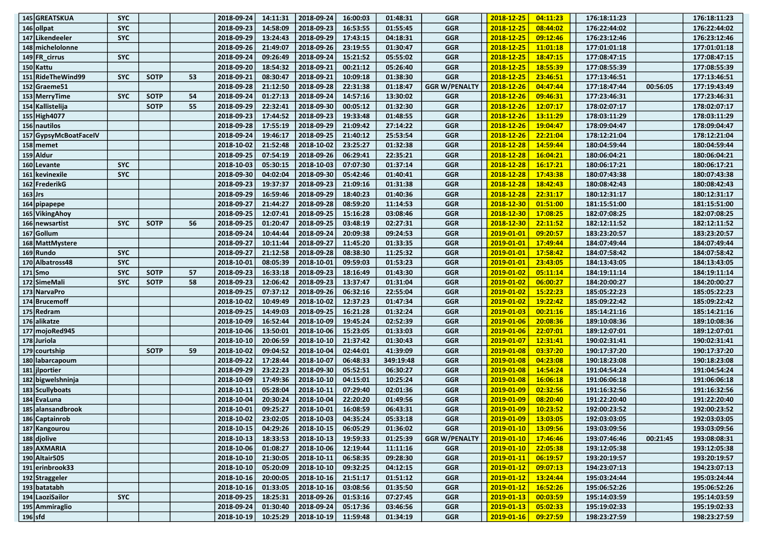| 145 GREATSKUA         | <b>SYC</b> |             |    | 2018-09-24          | 14:11:31 | 2018-09-24                           | 16:00:03 | 01:48:31             | <b>GGR</b>               | 2018-12-25                | 04:11:23             | 176:18:11:23                 |          | 176:18:11:23                 |
|-----------------------|------------|-------------|----|---------------------|----------|--------------------------------------|----------|----------------------|--------------------------|---------------------------|----------------------|------------------------------|----------|------------------------------|
| 146 ollpat            | <b>SYC</b> |             |    | 2018-09-23          | 14:58:09 | 2018-09-23                           | 16:53:55 | 01:55:45             | <b>GGR</b>               | 2018-12-25                | 08:44:02             | 176:22:44:02                 |          | 176:22:44:02                 |
| 147 Likendeeler       | <b>SYC</b> |             |    | 2018-09-29          | 13:24:43 | 2018-09-29                           | 17:43:15 | 04:18:31             | <b>GGR</b>               | 2018-12-25                | 09:12:46             | 176:23:12:46                 |          | 176:23:12:46                 |
| 148 michelolonne      |            |             |    | 2018-09-26          | 21:49:07 | 2018-09-26                           | 23:19:55 | 01:30:47             | <b>GGR</b>               | 2018-12-25                | 11:01:18             | 177:01:01:18                 |          | 177:01:01:18                 |
| 149 FR cirrus         | <b>SYC</b> |             |    | 2018-09-24          | 09:26:49 | 2018-09-24                           | 15:21:52 | 05:55:02             | <b>GGR</b>               | 2018-12-25                | 18:47:15             | 177:08:47:15                 |          | 177:08:47:15                 |
| 150 Kattu             |            |             |    | 2018-09-20          | 18:54:32 | 2018-09-21                           | 00:21:12 | 05:26:40             | <b>GGR</b>               | 2018-12-25                | 18:55:39             | 177:08:55:39                 |          | 177:08:55:39                 |
| 151 RideTheWind99     | <b>SYC</b> | <b>SOTP</b> | 53 | 2018-09-21          | 08:30:47 | 2018-09-21                           | 10:09:18 | 01:38:30             | <b>GGR</b>               | 2018-12-25                | 23:46:51             | 177:13:46:51                 |          | 177:13:46:51                 |
| 152 Graeme 51         |            |             |    | 2018-09-28          | 21:12:50 | 2018-09-28                           | 22:31:38 | 01:18:47             | <b>GGR W/PENALTY</b>     | 2018-12-26                | 04:47:44             | 177:18:47:44                 | 00:56:05 | 177:19:43:49                 |
| 153 MerryTime         | <b>SYC</b> | <b>SOTP</b> | 54 | 2018-09-24          | 01:27:13 | 2018-09-24                           | 14:57:16 | 13:30:02             | <b>GGR</b>               | 2018-12-26                | 09:46:31             | 177:23:46:31                 |          | 177:23:46:31                 |
| 154 Kallistelija      |            | <b>SOTP</b> | 55 | 2018-09-29          | 22:32:41 | 2018-09-30                           | 00:05:12 | 01:32:30             | <b>GGR</b>               | 2018-12-26                | 12:07:17             | 178:02:07:17                 |          | 178:02:07:17                 |
| 155 High4077          |            |             |    | 2018-09-23          | 17:44:52 | 2018-09-23                           | 19:33:48 | 01:48:55             | <b>GGR</b>               | 2018-12-26                | 13:11:29             | 178:03:11:29                 |          | 178:03:11:29                 |
| 156 nautilos          |            |             |    | 2018-09-28          | 17:55:19 | 2018-09-29                           | 21:09:42 | 27:14:22             | <b>GGR</b>               | 2018-12-26                | 19:04:47             | 178:09:04:47                 |          | 178:09:04:47                 |
| 157 GypsyMcBoatFaceIV |            |             |    | 2018-09-24          | 19:46:17 | 2018-09-25                           | 21:40:12 | 25:53:54             | <b>GGR</b>               | 2018-12-26                | 22:21:04             | 178:12:21:04                 |          | 178:12:21:04                 |
| $158$ memet           |            |             |    | 2018-10-02          | 21:52:48 | 2018-10-02                           | 23:25:27 | 01:32:38             | <b>GGR</b>               | 2018-12-28                | 14:59:44             | 180:04:59:44                 |          | 180:04:59:44                 |
| 159 Aldur             |            |             |    | 2018-09-25          | 07:54:19 | 2018-09-26                           | 06:29:41 | 22:35:21             | <b>GGR</b>               | 2018-12-28                | 16:04:21             | 180:06:04:21                 |          | 180:06:04:21                 |
| 160 Levante           | <b>SYC</b> |             |    | 2018-10-03          | 05:30:15 | 2018-10-03                           | 07:07:30 | 01:37:14             | <b>GGR</b>               | 2018-12-28                | 16:17:21             | 180:06:17:21                 |          | 180:06:17:21                 |
| 161 kevinexile        | <b>SYC</b> |             |    | 2018-09-30          | 04:02:04 | 2018-09-30                           | 05:42:46 | 01:40:41             | <b>GGR</b>               | 2018-12-28                | 17:43:38             | 180:07:43:38                 |          | 180:07:43:38                 |
| 162 FrederikG         |            |             |    | 2018-09-23          | 19:37:37 | 2018-09-23                           | 21:09:16 | 01:31:38             | <b>GGR</b>               | 2018-12-28                | 18:42:43             | 180:08:42:43                 |          | 180:08:42:43                 |
| $163$ Jrs             |            |             |    | 2018-09-29          | 16:59:46 | 2018-09-29                           | 18:40:23 | 01:40:36             | <b>GGR</b>               | 2018-12-28                | 22:31:17             | 180:12:31:17                 |          | 180:12:31:17                 |
| $164$ pipapepe        |            |             |    | 2018-09-27          | 21:44:27 | 2018-09-28                           | 08:59:20 | 11:14:53             | GGR                      | 2018-12-30                | 01:51:00             | 181:15:51:00                 |          | 181:15:51:00                 |
| 165 Viking Ahoy       |            |             |    | 2018-09-25          | 12:07:41 | 2018-09-25                           | 15:16:28 | 03:08:46             | <b>GGR</b>               | 2018-12-30                | 17:08:25             | 182:07:08:25                 |          | 182:07:08:25                 |
| 166 newsartist        | <b>SYC</b> | <b>SOTP</b> | 56 | 2018-09-25          | 01:20:47 | 2018-09-25                           | 03:48:19 | 02:27:31             | <b>GGR</b>               | 2018-12-30                | 22:11:52             | 182:12:11:52                 |          | 182:12:11:52                 |
| 167 Gollum            |            |             |    | 2018-09-24          | 10:44:44 | 2018-09-24                           | 20:09:38 | 09:24:53             | <b>GGR</b>               | 2019-01-01                | 09:20:57             | 183:23:20:57                 |          | 183:23:20:57                 |
| 168 MattMystere       |            |             |    | 2018-09-27          | 10:11:44 | 2018-09-27                           | 11:45:20 | 01:33:35             | <b>GGR</b>               | 2019-01-01                | 17:49:44             | 184:07:49:44                 |          | 184:07:49:44                 |
| 169 Rundo             | <b>SYC</b> |             |    | 2018-09-27          | 21:12:58 | 2018-09-28                           | 08:38:30 | 11:25:32             | GGR                      | 2019-01-01                | 17:58:42             | 184:07:58:42                 |          | 184:07:58:42                 |
| 170 Albatross48       | <b>SYC</b> |             |    | 2018-10-01          | 08:05:39 | 2018-10-01                           | 09:59:03 | 01:53:23             | <b>GGR</b>               | 2019-01-01                | 23:43:05             | 184:13:43:05                 |          | 184:13:43:05                 |
| $171$ Smo             | <b>SYC</b> | <b>SOTP</b> | 57 | 2018-09-23          | 16:33:18 | 2018-09-23                           | 18:16:49 | 01:43:30             | <b>GGR</b>               | 2019-01-02                | 05:11:14             | 184:19:11:14                 |          | 184:19:11:14                 |
| 172 SimeMali          | <b>SYC</b> | <b>SOTP</b> | 58 | 2018-09-23          | 12:06:42 | 2018-09-23                           | 13:37:47 | 01:31:04             | <b>GGR</b>               | 2019-01-02                | 06:00:27             | 184:20:00:27                 |          | 184:20:00:27                 |
| 173 NarvaPro          |            |             |    | 2018-09-25          | 07:37:12 | 2018-09-26                           | 06:32:16 | 22:55:04             | <b>GGR</b>               | 2019-01-02                | 15:22:23             | 185:05:22:23                 |          | 185:05:22:23                 |
| 174 Brucemoff         |            |             |    | 2018-10-02          | 10:49:49 | 2018-10-02                           | 12:37:23 | 01:47:34             | GGR                      | 2019-01-02                | 19:22:42             | 185:09:22:42                 |          | 185:09:22:42                 |
| 175 Redram            |            |             |    | 2018-09-25          | 14:49:03 | 2018-09-25                           | 16:21:28 | 01:32:24             | <b>GGR</b>               | 2019-01-03                | 00:21:16             | 185:14:21:16                 |          | 185:14:21:16                 |
| 176 alikatze          |            |             |    | 2018-10-09          | 16:52:44 | 2018-10-09                           | 19:45:24 | 02:52:39             | <b>GGR</b>               | 2019-01-06                | 20:08:36             | 189:10:08:36                 |          | 189:10:08:36                 |
| 177 mojoRed945        |            |             |    | 2018-10-06          | 13:50:01 | 2018-10-06                           | 15:23:05 | 01:33:03             | <b>GGR</b>               | 2019-01-06                | 22:07:01             | 189:12:07:01                 |          | 189:12:07:01                 |
| 178 Juriola           |            |             |    | 2018-10-10          | 20:06:59 | 2018-10-10                           | 21:37:42 | 01:30:43             | <b>GGR</b>               | 2019-01-07                | 12:31:41             | 190:02:31:41                 |          | 190:02:31:41                 |
| 179 courtship         |            | <b>SOTP</b> | 59 | 2018-10-02          | 09:04:52 | 2018-10-04                           | 02:44:01 | 41:39:09             | <b>GGR</b>               | 2019-01-08                | 03:37:20             | 190:17:37:20                 |          | 190:17:37:20                 |
| 180 labarcapoum       |            |             |    | 2018-09-22          | 17:28:44 | 2018-10-07                           | 06:48:33 | 349:19:48            | <b>GGR</b>               | 2019-01-08                | 04:23:08             | 190:18:23:08                 |          | 190:18:23:08                 |
| 181 jlportier         |            |             |    | 2018-09-29          | 23:22:23 | 2018-09-30                           | 05:52:51 | 06:30:27             | <b>GGR</b>               | 2019-01-08                | 14:54:24             | 191:04:54:24                 |          | 191:04:54:24                 |
| 182 bigwelshninja     |            |             |    | 2018-10-09          | 17:49:36 | 2018-10-10                           | 04:15:01 | 10:25:24             | <b>GGR</b>               | 2019-01-08                | 16:06:18             | 191:06:06:18                 |          | 191:06:06:18                 |
| 183 Scullyboats       |            |             |    | 2018-10-11          | 05:28:04 | 2018-10-11                           | 07:29:40 | 02:01:36             | <b>GGR</b>               | 2019-01-09                | 02:32:56             | 191:16:32:56                 |          | 191:16:32:56                 |
| 184 EvaLuna           |            |             |    | 2018-10-04          | 20:30:24 | 2018-10-04                           | 22:20:20 | 01:49:56             | <b>GGR</b>               | 2019-01-09                | 08:20:40             | 191:22:20:40                 |          | 191:22:20:40                 |
| 185 alansandbrook     |            |             |    | 2018-10-01          | 09:25:27 | 2018-10-01                           | 16:08:59 | 06:43:31             | <b>GGR</b>               | 2019-01-09                | 10:23:52             | 192:00:23:52                 |          | 192:00:23:52                 |
| 186 Captainrob        |            |             |    | 2018-10-02          |          | 23:02:05   2018-10-03   04:35:24     |          | 05:33:18             | GGR                      | $2019 - 01 - 09$ 13:03:05 |                      | 192:03:03:05                 |          | 192:03:03:05                 |
| 187 Kangourou         |            |             |    | 2018-10-15          | 04:29:26 | $ 2018 - 10 - 15 $                   | 06:05:29 | 01:36:02             | <b>GGR</b>               | $2019 - 01 - 10$          | 13:09:56             | 193:03:09:56                 |          | 193:03:09:56                 |
| 188 djolive           |            |             |    | 2018-10-13          | 18:33:53 | $2018 - 10 - 13$                     | 19:59:33 | 01:25:39             | <b>GGR W/PENALTY</b>     | 2019-01-10                | 17:46:46             | 193:07:46:46                 | 00:21:45 | 193:08:08:31                 |
| 189 AXMARIA           |            |             |    | 2018-10-06          | 01:08:27 |                                      | 12:19:44 |                      |                          |                           |                      |                              |          |                              |
| 190 Altair 505        |            |             |    | 2018-10-10          | 21:30:05 | $ 2018 - 10 - 06 $<br>$ 2018-10-11 $ | 06:58:35 | 11:11:16<br>09:28:30 | <b>GGR</b><br><b>GGR</b> | 2019-01-10<br>2019-01-11  | 22:05:38<br>06:19:57 | 193:12:05:38<br>193:20:19:57 |          | 193:12:05:38<br>193:20:19:57 |
| 191 erinbrook33       |            |             |    | 2018-10-10          | 05:20:09 | $2018 - 10 - 10$                     | 09:32:25 | 04:12:15             | <b>GGR</b>               | 2019-01-12                | 09:07:13             | 194:23:07:13                 |          | 194:23:07:13                 |
| 192 Straggeler        |            |             |    | 2018-10-16          | 20:00:05 | $2018 - 10 - 16$                     | 21:51:17 | 01:51:12             | <b>GGR</b>               | 2019-01-12                | 13:24:44             | 195:03:24:44                 |          | 195:03:24:44                 |
| 193 batatabh          |            |             |    | 2018-10-16          | 01:33:05 | $ 2018 - 10 - 16 $                   | 03:08:56 | 01:35:50             | <b>GGR</b>               | 2019-01-12                | 16:52:26             | 195:06:52:26                 |          | 195:06:52:26                 |
| 194 LaoziSailor       | <b>SYC</b> |             |    | 2018-09-25          | 18:25:31 | $ 2018-09-26 $                       | 01:53:16 | 07:27:45             | GGR                      | 2019-01-13                | 00:03:59             |                              |          |                              |
| 195 Ammiraglio        |            |             |    | 2018-09-24          | 01:30:40 | $ 2018-09-24 $                       | 05:17:36 | 03:46:56             | <b>GGR</b>               | 2019-01-13                | 05:02:33             | 195:14:03:59<br>195:19:02:33 |          | 195:14:03:59<br>195:19:02:33 |
| $196$ sfd             |            |             |    | 2018-10-19 10:25:29 |          | $ 2018-10-19 $ 11:59:48              |          | 01:34:19             | <b>GGR</b>               | $2019 - 01 - 16$          | $\boxed{09:27:59}$   | 198:23:27:59                 |          | 198:23:27:59                 |
|                       |            |             |    |                     |          |                                      |          |                      |                          |                           |                      |                              |          |                              |